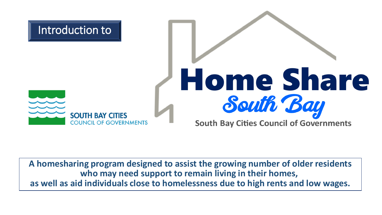

**A homesharing program designed to assist the growing number of older residents who may need support to remain living in their homes, as well as aid individuals close to homelessness due to high rents and low wages.**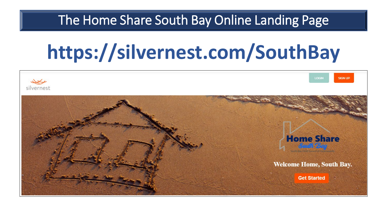#### The Home Share South Bay Online Landing Page

# **https://silvernest.com/SouthBay**

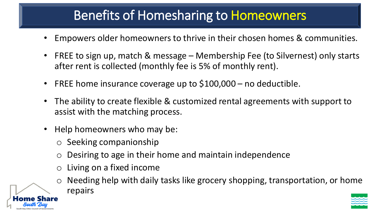### Benefits of Homesharing to Homeowners

- Empowers older homeowners to thrive in their chosen homes & communities.
- FREE to sign up, match & message Membership Fee (to Silvernest) only starts after rent is collected (monthly fee is 5% of monthly rent).
- FREE home insurance coverage up to \$100,000 no deductible.
- The ability to create flexible & customized rental agreements with support to assist with the matching process.
- Help homeowners who may be:
	- o Seeking companionship
	- $\circ$  Desiring to age in their home and maintain independence
	- o Living on a fixed income
	- Needing help with daily tasks like grocery shopping, transportation, or home repairs

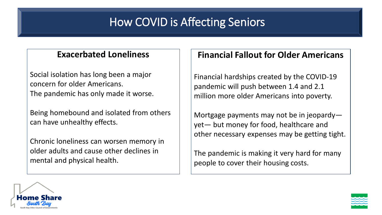#### How COVID is Affecting Seniors

#### **Exacerbated Loneliness**

Social isolation has long been a major concern for older Americans. The pandemic has only made it worse.

Being homebound and isolated from others can have unhealthy effects.

Chronic loneliness can worsen memory in older adults and cause other declines in mental and physical health.

#### **Financial Fallout for Older Americans**

Financial hardships created by the COVID-19 pandemic will push between 1.4 and 2.1 million more older Americans into poverty.

Mortgage payments may not be in jeopardy yet— but money for food, healthcare and other necessary expenses may be getting tight.

The pandemic is making it very hard for many people to cover their housing costs.



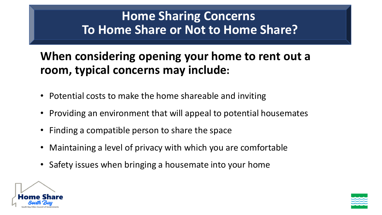#### **Home Sharing Concerns To Home Share or Not to Home Share?**

#### **When considering opening your home to rent out a room, typical concerns may include:**

- Potential costs to make the home shareable and inviting
- Providing an environment that will appeal to potential housemates
- Finding a compatible person to share the space
- Maintaining a level of privacy with which you are comfortable
- Safety issues when bringing a housemate into your home



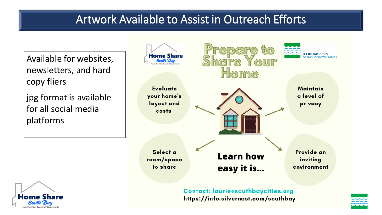#### Artwork Available to Assist in Outreach Efforts

Available for websites, newsletters, and hard copy fliers

jpg format is available for all social media platforms





**Contact: laurie@southbaycities.org** https://info.silvernest.com/southbay

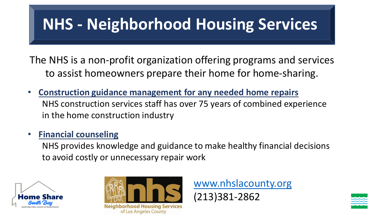# **NHS - Neighborhood Housing Services**

The NHS is a non-profit organization offering programs and services to assist homeowners prepare their home for home-sharing.

- **Construction guidance management for any needed home repairs** NHS construction services staff has over 75 years of combined experience in the home construction industry
- **Financial counseling**

NHS provides knowledge and guidance to make healthy financial decisions to avoid costly or unnecessary repair work